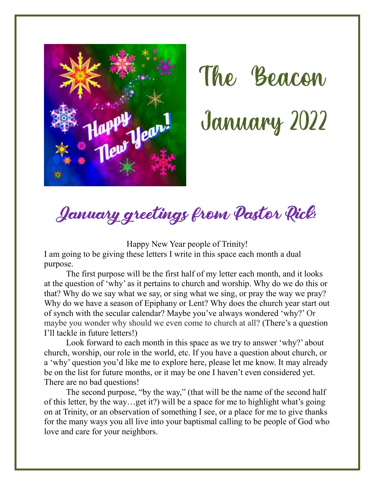



#### January greetings from Pastor Rick!

Happy New Year people of Trinity!

I am going to be giving these letters I write in this space each month a dual purpose.

The first purpose will be the first half of my letter each month, and it looks at the question of 'why' as it pertains to church and worship. Why do we do this or that? Why do we say what we say, or sing what we sing, or pray the way we pray? Why do we have a season of Epiphany or Lent? Why does the church year start out of synch with the secular calendar? Maybe you've always wondered 'why?' Or maybe you wonder why should we even come to church at all? (There's a question I'll tackle in future letters!)

Look forward to each month in this space as we try to answer 'why?' about church, worship, our role in the world, etc. If you have a question about church, or a 'why' question you'd like me to explore here, please let me know. It may already be on the list for future months, or it may be one I haven't even considered yet. There are no bad questions!

The second purpose, "by the way," (that will be the name of the second half of this letter, by the way…get it?) will be a space for me to highlight what's going on at Trinity, or an observation of something I see, or a place for me to give thanks for the many ways you all live into your baptismal calling to be people of God who love and care for your neighbors.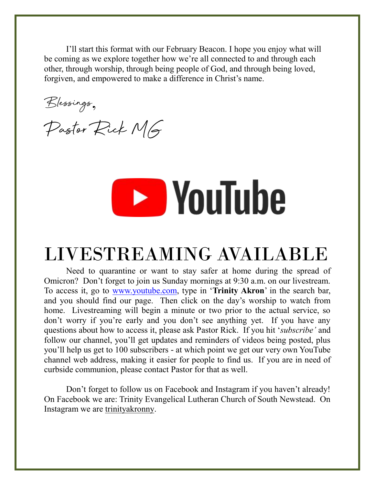I'll start this format with our February Beacon. I hope you enjoy what will be coming as we explore together how we're all connected to and through each other, through worship, through being people of God, and through being loved, forgiven, and empowered to make a difference in Christ's name.

Blessings,

Pastor Rick MG

# **EXP** YouTube

#### LIVESTREAMING AVAILABLE

Need to quarantine or want to stay safer at home during the spread of Omicron? Don't forget to join us Sunday mornings at 9:30 a.m. on our livestream. To access it, go to [www.youtube.com,](http://www.youtube.com/) type in '**Trinity Akron**' in the search bar, and you should find our page. Then click on the day's worship to watch from home. Livestreaming will begin a minute or two prior to the actual service, so don't worry if you're early and you don't see anything yet. If you have any questions about how to access it, please ask Pastor Rick. If you hit '*subscribe'* and follow our channel, you'll get updates and reminders of videos being posted, plus you'll help us get to 100 subscribers - at which point we get our very own YouTube channel web address, making it easier for people to find us. If you are in need of curbside communion, please contact Pastor for that as well.

Don't forget to follow us on Facebook and Instagram if you haven't already! On Facebook we are: Trinity Evangelical Lutheran Church of South Newstead. On Instagram we are trinityakronny.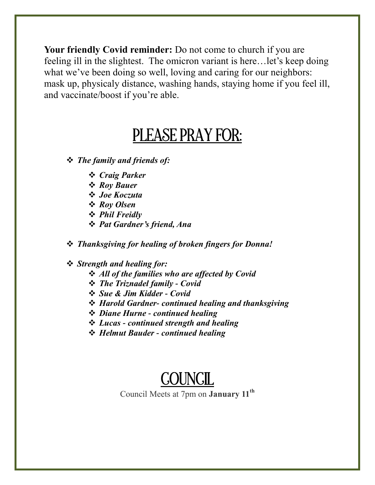**Your friendly Covid reminder:** Do not come to church if you are feeling ill in the slightest. The omicron variant is here…let's keep doing what we've been doing so well, loving and caring for our neighbors: mask up, physicaly distance, washing hands, staying home if you feel ill, and vaccinate/boost if you're able.

#### PLEASE PRAY FOR:

*The family and friends of:*

- *Craig Parker*
- *Roy Bauer*
- *Joe Koczuta*
- *Roy Olsen*
- *Phil Freidly*
- *Pat Gardner's friend, Ana*

*Thanksgiving for healing of broken fingers for Donna!*

#### *Strength and healing for:*

- *All of the families who are affected by Covid*
- *The Triznadel family - Covid*
- *Sue & Jim Kidder - Covid*
- *Harold Gardner- continued healing and thanksgiving*
- *Diane Hurne - continued healing*
- *Lucas - continued strength and healing*
- *Helmut Bauder - continued healing*

#### **COUNCIL**

Council Meets at 7pm on **January 11th**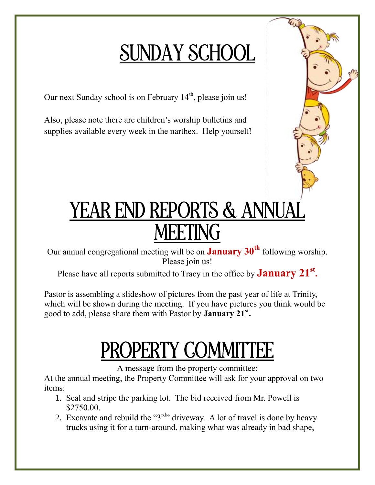#### SUNDAY SCHOOL

Our next Sunday school is on February  $14<sup>th</sup>$ , please join us!

Also, please note there are children's worship bulletins and supplies available every week in the narthex. Help yourself!

#### YEAR END REPORTS & ANNUA MEETING

Our annual congregational meeting will be on **January 30th** following worship. Please join us!

Please have all reports submitted to Tracy in the office by **January 21st .**

Pastor is assembling a slideshow of pictures from the past year of life at Trinity, which will be shown during the meeting. If you have pictures you think would be good to add, please share them with Pastor by **January 21st .**

# **DPERTY COMMITTEE**

A message from the property committee:

At the annual meeting, the Property Committee will ask for your approval on two items:

- 1. Seal and stripe the parking lot. The bid received from Mr. Powell is \$2750.00.
- 2. Excavate and rebuild the " $3<sup>rd</sup>$ " driveway. A lot of travel is done by heavy trucks using it for a turn-around, making what was already in bad shape,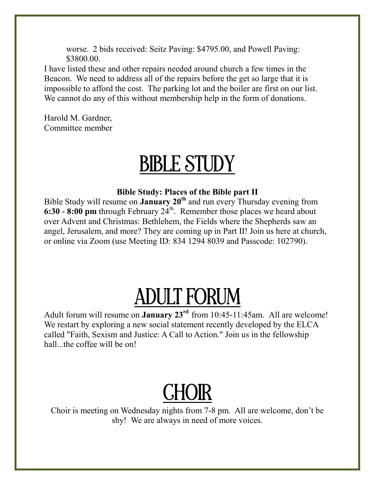worse. 2 bids received: Seitz Paving: \$4795.00, and Powell Paving: \$3800.00.

I have listed these and other repairs needed around church a few times in the Beacon. We need to address all of the repairs before the get so large that it is impossible to afford the cost. The parking lot and the boiler are first on our list. We cannot do any of this without membership help in the form of donations.

Harold M. Gardner, Committee member

#### BIBLE STUDY

#### **Bible Study: Places of the Bible part II**

Bible Study will resume on **January 20th** and run every Thursday evening from  $6:30 - 8:00$  pm through February  $24<sup>th</sup>$ . Remember those places we heard about over Advent and Christmas: Bethlehem, the Fields where the Shepherds saw an angel, Jerusalem, and more? They are coming up in Part II! Join us here at church, or online via Zoom (use Meeting ID: 834 1294 8039 and Passcode: 102790).

## ADULT FORUM

Adult forum will resume on **January 23rd** from 10:45-11:45am. All are welcome! We restart by exploring a new social statement recently developed by the ELCA called "Faith, Sexism and Justice: A Call to Action." Join us in the fellowship hall...the coffee will be on!

# **CHOIR**

Choir is meeting on Wednesday nights from 7-8 pm. All are welcome, don't be shy! We are always in need of more voices.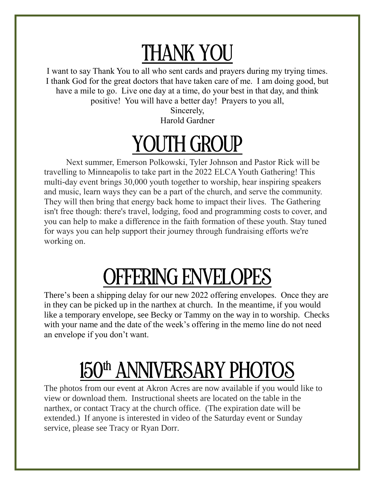### THANK YOU

I want to say Thank You to all who sent cards and prayers during my trying times. I thank God for the great doctors that have taken care of me. I am doing good, but have a mile to go. Live one day at a time, do your best in that day, and think positive! You will have a better day! Prayers to you all,

> Sincerely, Harold Gardner

## YOUTH GROUP

Next summer, Emerson Polkowski, Tyler Johnson and Pastor Rick will be travelling to Minneapolis to take part in the 2022 ELCA Youth Gathering! This multi-day event brings 30,000 youth together to worship, hear inspiring speakers and music, learn ways they can be a part of the church, and serve the community. They will then bring that energy back home to impact their lives. The Gathering isn't free though: there's travel, lodging, food and programming costs to cover, and you can help to make a difference in the faith formation of these youth. Stay tuned for ways you can help support their journey through fundraising efforts we're working on.

### OFFERING ENVELOPES

There's been a shipping delay for our new 2022 offering envelopes. Once they are in they can be picked up in the narthex at church. In the meantime, if you would like a temporary envelope, see Becky or Tammy on the way in to worship. Checks with your name and the date of the week's offering in the memo line do not need an envelope if you don't want.

# 150<sup>th</sup> ANNIVERSARY PHOTOS

The photos from our event at Akron Acres are now available if you would like to view or download them. Instructional sheets are located on the table in the narthex, or contact Tracy at the church office. (The expiration date will be extended.) If anyone is interested in video of the Saturday event or Sunday service, please see Tracy or Ryan Dorr.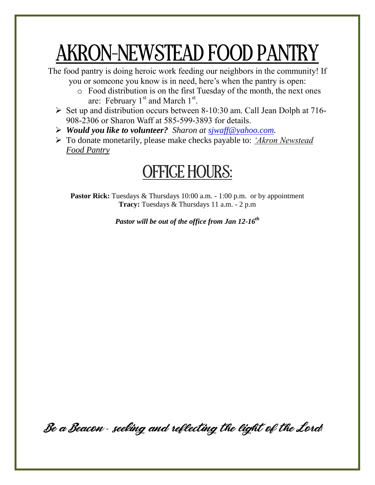### AKRON-NEWSTEAD FOOD PANTRY

The food pantry is doing heroic work feeding our neighbors in the community! If you or someone you know is in need, here's when the pantry is open:

- o Food distribution is on the first Tuesday of the month, the next ones are: February  $1^{st}$  and March  $1^{st}$ .
- $\triangleright$  Set up and distribution occurs between 8-10:30 am. Call Jean Dolph at 716-908-2306 or Sharon Waff at 585-599-3893 for details.
- *Would you like to volunteer? Sharon at [sjwaff@yahoo.com.](mailto:sjwaff@yahoo.com)*
- To donate monetarily, please make checks payable to: *'Akron Newstead Food Pantry*

#### OFFICE HOURS:

**Pastor Rick:** Tuesdays & Thursdays 10:00 a.m. - 1:00 p.m. or by appointment **Tracy:** Tuesdays & Thursdays 11 a.m. - 2 p.m

*Pastor will be out of the office from Jan 12-16th*

Be a Beacon *-* seeking and reflecting the light of the Lord*!*